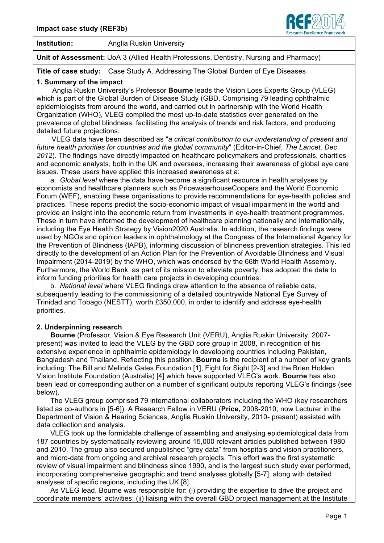

**Institution:** Anglia Ruskin University

**Unit of Assessment:** UoA 3 (Allied Health Professions, Dentistry, Nursing and Pharmacy)

**Title of case study:** Case Study A. Addressing The Global Burden of Eye Diseases

#### **1. Summary of the impact**

 Anglia Ruskin University's Professor **Bourne** leads the Vision Loss Experts Group (VLEG) which is part of the Global Burden of Disease Study (GBD. Comprising 79 leading ophthalmic epidemiologists from around the world, and carried out in partnership with the World Health Organization (WHO), VLEG compiled the most up-to-date statistics ever generated on the prevalence of global blindness, facilitating the analysis of trends and risk factors, and producing detailed future projections.

VLEG data have been described as "*a critical contribution to our understanding of present and future health priorities for countries and the global community*" (Editor-in-Chief, *The Lancet, Dec 2012*). The findings have directly impacted on healthcare policymakers and professionals, charities and economic analysts, both in the UK and overseas, increasing their awareness of global eye care issues. These users have applied this increased awareness at a:

a. *Global level* where the data have become a significant resource in health analyses by economists and healthcare planners such as PricewaterhouseCoopers and the World Economic Forum (WEF), enabling these organisations to provide recommendations for eye-health policies and practices. These reports predict the socio-economic impact of visual impairment in the world and provide an insight into the economic return from investments in eye-health treatment programmes. These in turn have informed the development of healthcare planning nationally and internationally, including the Eye Health Strategy by Vision2020 Australia. In addition, the research findings were used by NGOs and opinion leaders in ophthalmology at the Congress of the International Agency for the Prevention of Blindness (IAPB), informing discussion of blindness prevention strategies. This led directly to the development of an Action Plan for the Prevention of Avoidable Blindness and Visual Impairment (2014-2019) by the WHO, which was endorsed by the 66th World Health Assembly. Furthermore, the World Bank, as part of its mission to alleviate poverty, has adopted the data to inform funding priorities for health care projects in developing countries.

b. *National level* where VLEG findings drew attention to the absence of reliable data, subsequently leading to the commissioning of a detailed countrywide National Eye Survey of Trinidad and Tobago (NESTT), worth £350,000, in order to identify and address eye-health priorities*.*

# **2. Underpinning research**

 **Bourne** (Professor, Vision & Eye Research Unit (VERU), Anglia Ruskin University, 2007 present) was invited to lead the VLEG by the GBD core group in 2008, in recognition of his extensive experience in ophthalmic epidemiology in developing countries including Pakistan, Bangladesh and Thailand. Reflecting this position, **Bourne** is the recipient of a number of key grants including: The Bill and Melinda Gates Foundation [1], Fight for Sight [2-3] and the Brien Holden Vision Institute Foundation (Australia) [4] which have supported VLEG's work. **Bourne** has also been lead or corresponding author on a number of significant outputs reporting VLEG's findings (see below).

 The VLEG group comprised 79 international collaborators including the WHO (key researchers listed as co-authors in [5-6]). A Research Fellow in VERU (**Price,** 2008-2010; now Lecturer in the Department of Vision & Hearing Sciences, Anglia Ruskin University, 2010- present) assisted with data collection and analysis.

 VLEG took up the formidable challenge of assembling and analysing epidemiological data from 187 countries by systematically reviewing around 15,000 relevant articles published between 1980 and 2010. The group also secured unpublished "grey data" from hospitals and vision practitioners, and micro-data from ongoing and archival research projects. This effort was the first systematic review of visual impairment and blindness since 1990, and is the largest such study ever performed, incorporating comprehensive geographic and trend analyses globally [5-7], along with detailed analyses of specific regions, including the UK [8].

 As VLEG lead, Bourne was responsible for: (i) providing the expertise to drive the project and coordinate members' activities; (ii) liaising with the overall GBD project management at the Institute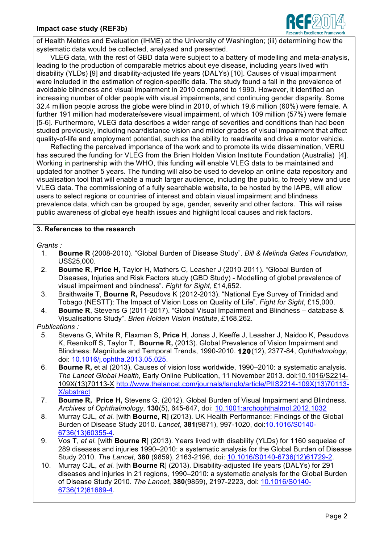

of Health Metrics and Evaluation (IHME) at the University of Washington; (iii) determining how the systematic data would be collected, analysed and presented.

 VLEG data, with the rest of GBD data were subject to a battery of modelling and meta-analysis, leading to the production of comparable metrics about eye disease, including years lived with disability (YLDs) [9] and disability-adjusted life years (DALYs) [10]. Causes of visual impairment were included in the estimation of region-specific data. The study found a fall in the prevalence of avoidable blindness and visual impairment in 2010 compared to 1990. However, it identified an increasing number of older people with visual impairments, and continuing gender disparity. Some 32.4 million people across the globe were blind in 2010, of which 19.6 million (60%) were female. A further 191 million had moderate/severe visual impairment, of which 109 million (57%) were female [5-6]. Furthermore, VLEG data describes a wider range of severities and conditions than had been studied previously, including near/distance vision and milder grades of visual impairment that affect quality-of-life and employment potential, such as the ability to read/write and drive a motor vehicle.

 Reflecting the perceived importance of the work and to promote its wide dissemination, VERU has secured the funding for VLEG from the Brien Holden Vision Institute Foundation (Australia) [4]. Working in partnership with the WHO, this funding will enable VLEG data to be maintained and updated for another 5 years. The funding will also be used to develop an online data repository and visualisation tool that will enable a much larger audience, including the public, to freely view and use VLEG data. The commissioning of a fully searchable website, to be hosted by the IAPB, will allow users to select regions or countries of interest and obtain visual impairment and blindness prevalence data, which can be grouped by age, gender, severity and other factors. This will raise public awareness of global eye health issues and highlight local causes and risk factors.

# **3. References to the research**

*Grants :* 

- 1. **Bourne R** (2008-2010). "Global Burden of Disease Study". *Bill & Melinda Gates Foundation*, US\$25,000.
- 2. **Bourne R**, **Price H**, Taylor H, Mathers C, Leasher J (2010-2011). "Global Burden of Diseases, Injuries and Risk Factors study (GBD Study) - Modelling of global prevalence of visual impairment and blindness". *Fight for Sight*, £14,652.
- 3. Braithwaite T, **Bourne R,** Pesudovs K (2012-2013). "National Eye Survey of Trinidad and Tobago (NESTT): The Impact of Vision Loss on Quality of Life". *Fight for Sight*, £15,000.
- 4. **Bourne R**, Stevens G (2011-2017). "Global Visual Impairment and Blindness database & Visualisations Study". *Brien Holden Vision Institute*, £168,262.

# *Publications :*

- 5. Stevens G, White R, Flaxman S, **Price H**, Jonas J, Keeffe J, Leasher J, Naidoo K, Pesudovs K, Resnikoff S, Taylor T, **Bourne R,** (2013). Global Prevalence of Vision Impairment and Blindness: Magnitude and Temporal Trends, 1990-2010. **120**(12), 2377-84, *Ophthalmology*, doi: 10.1016/j.ophtha.2013.05.025.
- 6. **Bourne R,** et al (2013). Causes of vision loss worldwide, 1990–2010: a systematic analysis. *The Lancet Global Health*, Early Online Publication, 11 November 2013. doi:10.1016/S2214- 109X(13)70113-X http://www.thelancet.com/journals/langlo/article/PIIS2214-109X(13)70113- X/abstract
- 7. **Bourne R, Price H,** Stevens G. (2012). Global Burden of Visual Impairment and Blindness. *Archives of Ophthalmology*, **130**(5), 645-647, doi: 10.1001:archophthalmol.2012.1032
- 8. Murray CJL, *et al.* [with **Bourne, R**] (2013). UK Health Performance: Findings of the Global Burden of Disease Study 2010. *Lancet*, **381**(9871), 997-1020, doi:10.1016/S0140- 6736(13)60355-4.
- 9. Vos T, *et al.* [with **Bourne R**] (2013). Years lived with disability (YLDs) for 1160 sequelae of 289 diseases and injuries 1990–2010: a systematic analysis for the Global Burden of Disease Study 2010. *The Lancet*, **380** (9859), 2163-2196, doi: 10.1016/S0140-6736(12)61729-2.
- 10. Murray CJL, *et al.* [with **Bourne R**] (2013). Disability-adjusted life years (DALYs) for 291 diseases and injuries in 21 regions, 1990–2010: a systematic analysis for the Global Burden of Disease Study 2010. *The Lancet*, **380**(9859), 2197-2223, doi: 10.1016/S0140- 6736(12)61689-4.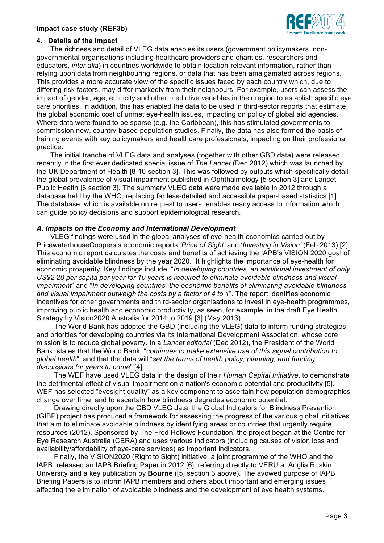

#### **4. Details of the impact**

 The richness and detail of VLEG data enables its users (government policymakers, nongovernmental organisations including healthcare providers and charities, researchers and educators, *inter alia*) in countries worldwide to obtain location-relevant information, rather than relying upon data from neighbouring regions, or data that has been amalgamated across regions. This provides a more accurate view of the specific issues faced by each country which, due to differing risk factors, may differ markedly from their neighbours. For example, users can assess the impact of gender, age, ethnicity and other predictive variables in their region to establish specific eye care priorities. In addition, this has enabled the data to be used in third-sector reports that estimate the global economic cost of unmet eye-health issues, impacting on policy of global aid agencies. Where data were found to be sparse (e.g. the Caribbean), this has stimulated governments to commission new, country-based population studies. Finally, the data has also formed the basis of training events with key policymakers and healthcare professionals, impacting on their professional practice.

 The initial tranche of VLEG data and analyses (together with other GBD data) were released recently in the first ever dedicated special issue of *The Lancet* (Dec 2012) which was launched by the UK Department of Health [8-10 section 3]. This was followed by outputs which specifically detail the global prevalence of visual impairment published in Ophthalmology [5 section 3] and Lancet Public Health [6 section 3]. The summary VLEG data were made available in 2012 through a database held by the WHO, replacing far less-detailed and accessible paper-based statistics [1]. The database, which is available on request to users, enables ready access to information which can guide policy decisions and support epidemiological research.

# *A. Impacts on the Economy and International Development*

 VLEG findings were used in the global analyses of eye-health economics carried out by PricewaterhouseCoopers's economic reports *'Price of Sight'* and '*Investing in Vision'* (Feb 2013) [2]*.*  This economic report calculates the costs and benefits of achieving the IAPB's VISION 2020 goal of eliminating avoidable blindness by the year 2020. It highlights the importance of eye-health for economic prosperity. Key findings include: "*In developing countries, an additional investment of only US\$2.20 per capita per year for 10 years is required to eliminate avoidable blindness and visual impairment*" and "*In developing countries, the economic benefits of eliminating avoidable blindness and visual impairment outweigh the costs by a factor of 4 to 1*". The report identifies economic incentives for other governments and third-sector organisations to invest in eye-health programmes, improving public health and economic productivity, as seen, for example, in the draft Eye Health Strategy by Vision2020 Australia for 2014 to 2019 [3] (May 2013).

The World Bank has adopted the GBD (including the VLEG) data to inform funding strategies and priorities for developing countries via its International Development Association, whose core mission is to reduce global poverty. In a *Lancet editorial* (Dec 2012), the President of the World Bank, states that the World Bank "*continues to make extensive use of this signal contribution to global health*", and that the data will "*set the terms of health policy, planning, and funding discussions for years to come*" [4].

The WEF have used VLEG data in the design of their *Human Capital Initiative*, to demonstrate the detrimental effect of visual impairment on a nation's economic potential and productivity [5]. WEF has selected "eyesight quality" as a key component to ascertain how population demographics change over time, and to ascertain how blindness degrades economic potential.

Drawing directly upon the GBD VLEG data, the Global Indicators for Blindness Prevention (GIBP) project has produced a framework for assessing the progress of the various global initiatives that aim to eliminate avoidable blindness by identifying areas or countries that urgently require resources (2012). Sponsored by The Fred Hollows Foundation, the project began at the Centre for Eye Research Australia (CERA) and uses various indicators (including causes of vision loss and availability/affordability of eye-care services) as important indicators.

Finally, the VISION2020 (Right to Sight) initiative, a joint programme of the WHO and the IAPB, released an IAPB Briefing Paper in 2012 [6], referring directly to VERU at Anglia Ruskin University and a key publication by **Bourne** ([5] section 3 above). The avowed purpose of IAPB Briefing Papers is to inform IAPB members and others about important and emerging issues affecting the elimination of avoidable blindness and the development of eye health systems.